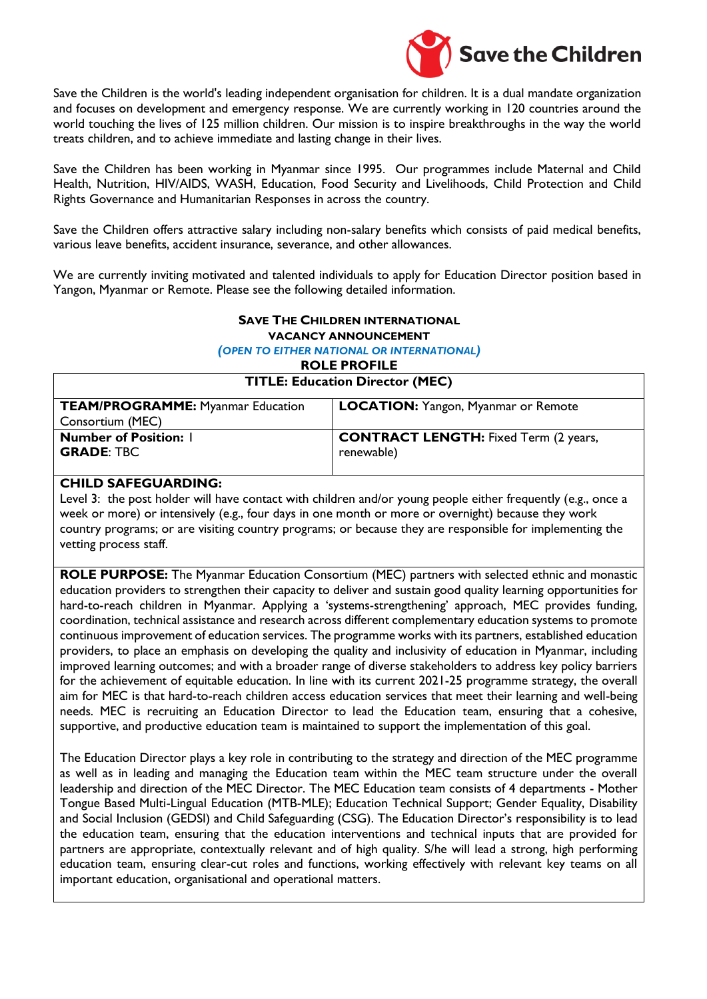

Save the Children is the world's leading independent organisation for children. It is a dual mandate organization and focuses on development and emergency response. We are currently working in 120 countries around the world touching the lives of 125 million children. Our mission is to inspire breakthroughs in the way the world treats children, and to achieve immediate and lasting change in their lives.

Save the Children has been working in Myanmar since 1995. Our programmes include Maternal and Child Health, Nutrition, HIV/AIDS, WASH, Education, Food Security and Livelihoods, Child Protection and Child Rights Governance and Humanitarian Responses in across the country.

Save the Children offers attractive salary including non-salary benefits which consists of paid medical benefits, various leave benefits, accident insurance, severance, and other allowances.

We are currently inviting motivated and talented individuals to apply for Education Director position based in Yangon, Myanmar or Remote. Please see the following detailed information.

#### **SAVE THE CHILDREN INTERNATIONAL VACANCY ANNOUNCEMENT**

*(OPEN TO EITHER NATIONAL OR INTERNATIONAL)*

**ROLE PROFILE**

**TITLE: Education Director (MEC)**

| <b>TEAM/PROGRAMME: Myanmar Education</b> | LOCATION: Yangon, Myanmar or Remote          |
|------------------------------------------|----------------------------------------------|
| Consortium (MEC)                         |                                              |
| <b>Number of Position: I</b>             | <b>CONTRACT LENGTH:</b> Fixed Term (2 years, |
| <b>GRADE: TBC</b>                        | renewable)                                   |
|                                          |                                              |

#### **CHILD SAFEGUARDING:**

Level 3: the post holder will have contact with children and/or young people either frequently (e.g., once a week or more) or intensively (e.g., four days in one month or more or overnight) because they work country programs; or are visiting country programs; or because they are responsible for implementing the vetting process staff.

**ROLE PURPOSE:** The Myanmar Education Consortium (MEC) partners with selected ethnic and monastic education providers to strengthen their capacity to deliver and sustain good quality learning opportunities for hard-to-reach children in Myanmar. Applying a 'systems-strengthening' approach, MEC provides funding, coordination, technical assistance and research across different complementary education systems to promote continuous improvement of education services. The programme works with its partners, established education providers, to place an emphasis on developing the quality and inclusivity of education in Myanmar, including improved learning outcomes; and with a broader range of diverse stakeholders to address key policy barriers for the achievement of equitable education. In line with its current 2021-25 programme strategy, the overall aim for MEC is that hard-to-reach children access education services that meet their learning and well-being needs. MEC is recruiting an Education Director to lead the Education team, ensuring that a cohesive, supportive, and productive education team is maintained to support the implementation of this goal.

The Education Director plays a key role in contributing to the strategy and direction of the MEC programme as well as in leading and managing the Education team within the MEC team structure under the overall leadership and direction of the MEC Director. The MEC Education team consists of 4 departments - Mother Tongue Based Multi-Lingual Education (MTB-MLE); Education Technical Support; Gender Equality, Disability and Social Inclusion (GEDSI) and Child Safeguarding (CSG). The Education Director's responsibility is to lead the education team, ensuring that the education interventions and technical inputs that are provided for partners are appropriate, contextually relevant and of high quality. S/he will lead a strong, high performing education team, ensuring clear-cut roles and functions, working effectively with relevant key teams on all important education, organisational and operational matters.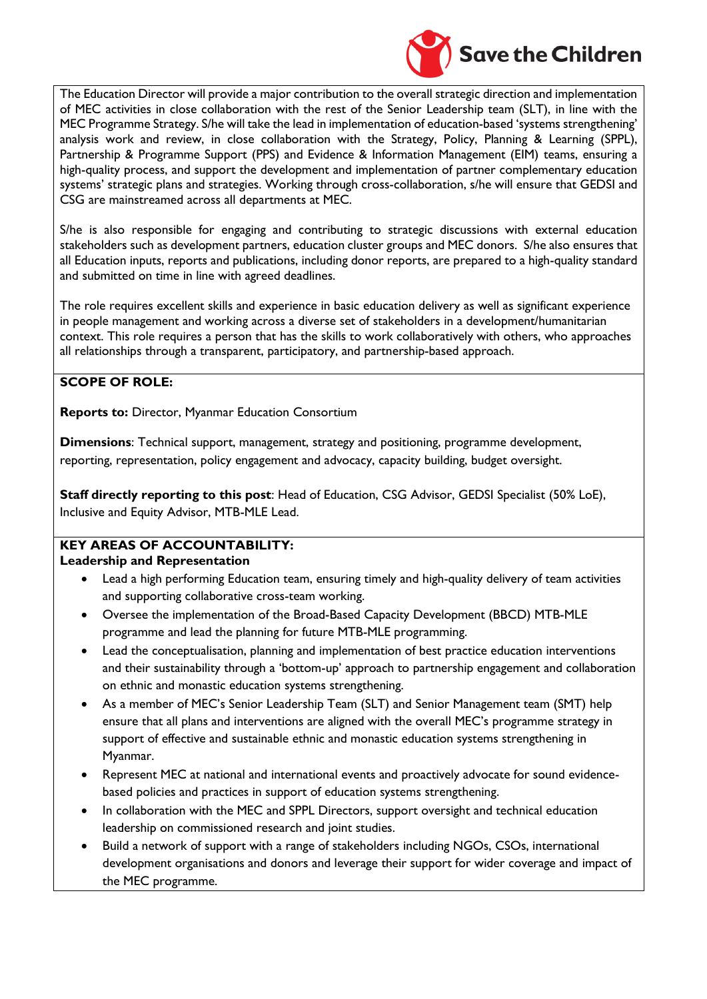

The Education Director will provide a major contribution to the overall strategic direction and implementation of MEC activities in close collaboration with the rest of the Senior Leadership team (SLT), in line with the MEC Programme Strategy. S/he will take the lead in implementation of education-based 'systems strengthening' analysis work and review, in close collaboration with the Strategy, Policy, Planning & Learning (SPPL), Partnership & Programme Support (PPS) and Evidence & Information Management (EIM) teams, ensuring a high-quality process, and support the development and implementation of partner complementary education systems' strategic plans and strategies. Working through cross-collaboration, s/he will ensure that GEDSI and CSG are mainstreamed across all departments at MEC.

S/he is also responsible for engaging and contributing to strategic discussions with external education stakeholders such as development partners, education cluster groups and MEC donors. S/he also ensures that all Education inputs, reports and publications, including donor reports, are prepared to a high-quality standard and submitted on time in line with agreed deadlines.

The role requires excellent skills and experience in basic education delivery as well as significant experience in people management and working across a diverse set of stakeholders in a development/humanitarian context. This role requires a person that has the skills to work collaboratively with others, who approaches all relationships through a transparent, participatory, and partnership-based approach.

# **SCOPE OF ROLE:**

**Reports to:** Director, Myanmar Education Consortium

**Dimensions**: Technical support, management, strategy and positioning, programme development, reporting, representation, policy engagement and advocacy, capacity building, budget oversight.

**Staff directly reporting to this post**: Head of Education, CSG Advisor, GEDSI Specialist (50% LoE), Inclusive and Equity Advisor, MTB-MLE Lead.

#### **KEY AREAS OF ACCOUNTABILITY: Leadership and Representation**

- Lead a high performing Education team, ensuring timely and high-quality delivery of team activities and supporting collaborative cross-team working.
- Oversee the implementation of the Broad-Based Capacity Development (BBCD) MTB-MLE programme and lead the planning for future MTB-MLE programming.
- Lead the conceptualisation, planning and implementation of best practice education interventions and their sustainability through a 'bottom-up' approach to partnership engagement and collaboration on ethnic and monastic education systems strengthening.
- As a member of MEC's Senior Leadership Team (SLT) and Senior Management team (SMT) help ensure that all plans and interventions are aligned with the overall MEC's programme strategy in support of effective and sustainable ethnic and monastic education systems strengthening in Myanmar.
- Represent MEC at national and international events and proactively advocate for sound evidencebased policies and practices in support of education systems strengthening.
- In collaboration with the MEC and SPPL Directors, support oversight and technical education leadership on commissioned research and joint studies.
- Build a network of support with a range of stakeholders including NGOs, CSOs, international development organisations and donors and leverage their support for wider coverage and impact of the MEC programme.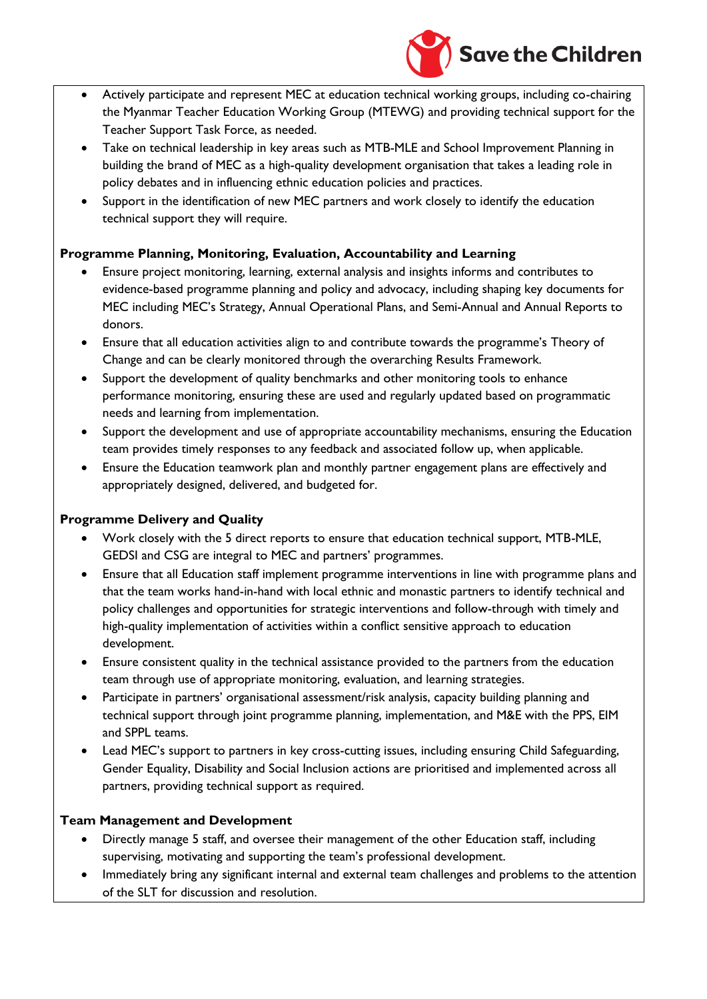

- Actively participate and represent MEC at education technical working groups, including co-chairing the Myanmar Teacher Education Working Group (MTEWG) and providing technical support for the Teacher Support Task Force, as needed.
- Take on technical leadership in key areas such as MTB-MLE and School Improvement Planning in building the brand of MEC as a high-quality development organisation that takes a leading role in policy debates and in influencing ethnic education policies and practices.
- Support in the identification of new MEC partners and work closely to identify the education technical support they will require.

# **Programme Planning, Monitoring, Evaluation, Accountability and Learning**

- Ensure project monitoring, learning, external analysis and insights informs and contributes to evidence-based programme planning and policy and advocacy, including shaping key documents for MEC including MEC's Strategy, Annual Operational Plans, and Semi-Annual and Annual Reports to donors.
- Ensure that all education activities align to and contribute towards the programme's Theory of Change and can be clearly monitored through the overarching Results Framework.
- Support the development of quality benchmarks and other monitoring tools to enhance performance monitoring, ensuring these are used and regularly updated based on programmatic needs and learning from implementation.
- Support the development and use of appropriate accountability mechanisms, ensuring the Education team provides timely responses to any feedback and associated follow up, when applicable.
- Ensure the Education teamwork plan and monthly partner engagement plans are effectively and appropriately designed, delivered, and budgeted for.

# **Programme Delivery and Quality**

- Work closely with the 5 direct reports to ensure that education technical support, MTB-MLE, GEDSI and CSG are integral to MEC and partners' programmes.
- Ensure that all Education staff implement programme interventions in line with programme plans and that the team works hand-in-hand with local ethnic and monastic partners to identify technical and policy challenges and opportunities for strategic interventions and follow-through with timely and high-quality implementation of activities within a conflict sensitive approach to education development.
- Ensure consistent quality in the technical assistance provided to the partners from the education team through use of appropriate monitoring, evaluation, and learning strategies.
- Participate in partners' organisational assessment/risk analysis, capacity building planning and technical support through joint programme planning, implementation, and M&E with the PPS, EIM and SPPL teams.
- Lead MEC's support to partners in key cross-cutting issues, including ensuring Child Safeguarding, Gender Equality, Disability and Social Inclusion actions are prioritised and implemented across all partners, providing technical support as required.

# **Team Management and Development**

- Directly manage 5 staff, and oversee their management of the other Education staff, including supervising, motivating and supporting the team's professional development.
- Immediately bring any significant internal and external team challenges and problems to the attention of the SLT for discussion and resolution.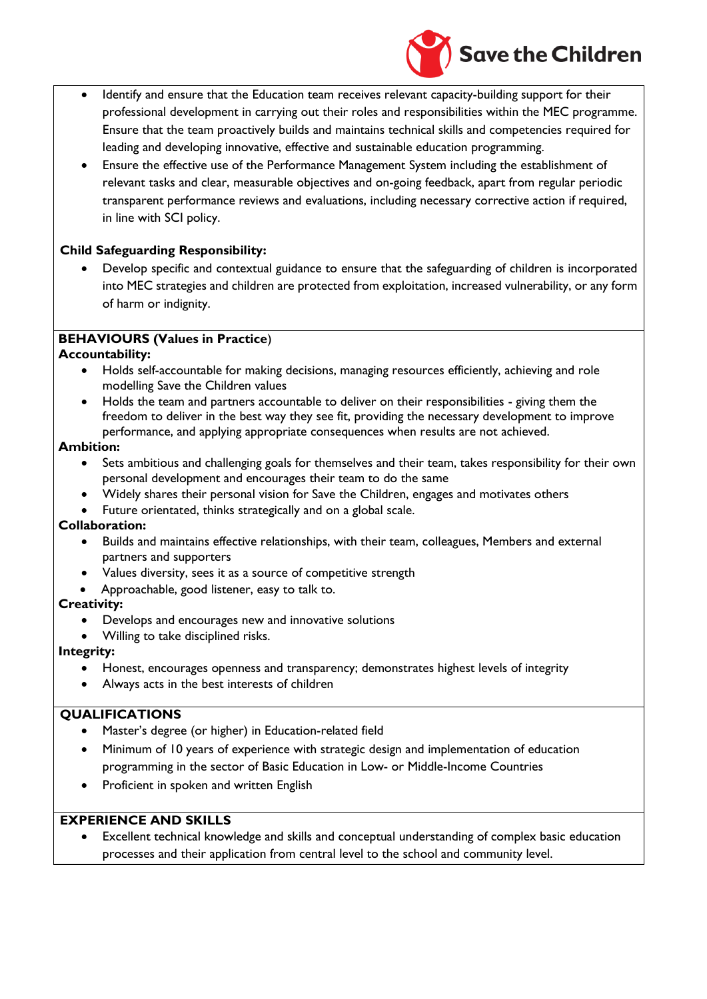

- Identify and ensure that the Education team receives relevant capacity-building support for their professional development in carrying out their roles and responsibilities within the MEC programme. Ensure that the team proactively builds and maintains technical skills and competencies required for leading and developing innovative, effective and sustainable education programming.
- Ensure the effective use of the Performance Management System including the establishment of relevant tasks and clear, measurable objectives and on-going feedback, apart from regular periodic transparent performance reviews and evaluations, including necessary corrective action if required, in line with SCI policy.

### **Child Safeguarding Responsibility:**

• Develop specific and contextual guidance to ensure that the safeguarding of children is incorporated into MEC strategies and children are protected from exploitation, increased vulnerability, or any form of harm or indignity.

### **BEHAVIOURS (Values in Practice**)

### **Accountability:**

- Holds self-accountable for making decisions, managing resources efficiently, achieving and role modelling Save the Children values
- Holds the team and partners accountable to deliver on their responsibilities giving them the freedom to deliver in the best way they see fit, providing the necessary development to improve performance, and applying appropriate consequences when results are not achieved.

### **Ambition:**

- Sets ambitious and challenging goals for themselves and their team, takes responsibility for their own personal development and encourages their team to do the same
	- Widely shares their personal vision for Save the Children, engages and motivates others
- Future orientated, thinks strategically and on a global scale.

### **Collaboration:**

- Builds and maintains effective relationships, with their team, colleagues, Members and external partners and supporters
- Values diversity, sees it as a source of competitive strength
- Approachable, good listener, easy to talk to.

### **Creativity:**

- Develops and encourages new and innovative solutions
- Willing to take disciplined risks.

# **Integrity:**

- Honest, encourages openness and transparency; demonstrates highest levels of integrity
- Always acts in the best interests of children

# **QUALIFICATIONS**

- Master's degree (or higher) in Education-related field
- Minimum of 10 years of experience with strategic design and implementation of education programming in the sector of Basic Education in Low- or Middle-Income Countries
- Proficient in spoken and written English

# **EXPERIENCE AND SKILLS**

Excellent technical knowledge and skills and conceptual understanding of complex basic education processes and their application from central level to the school and community level.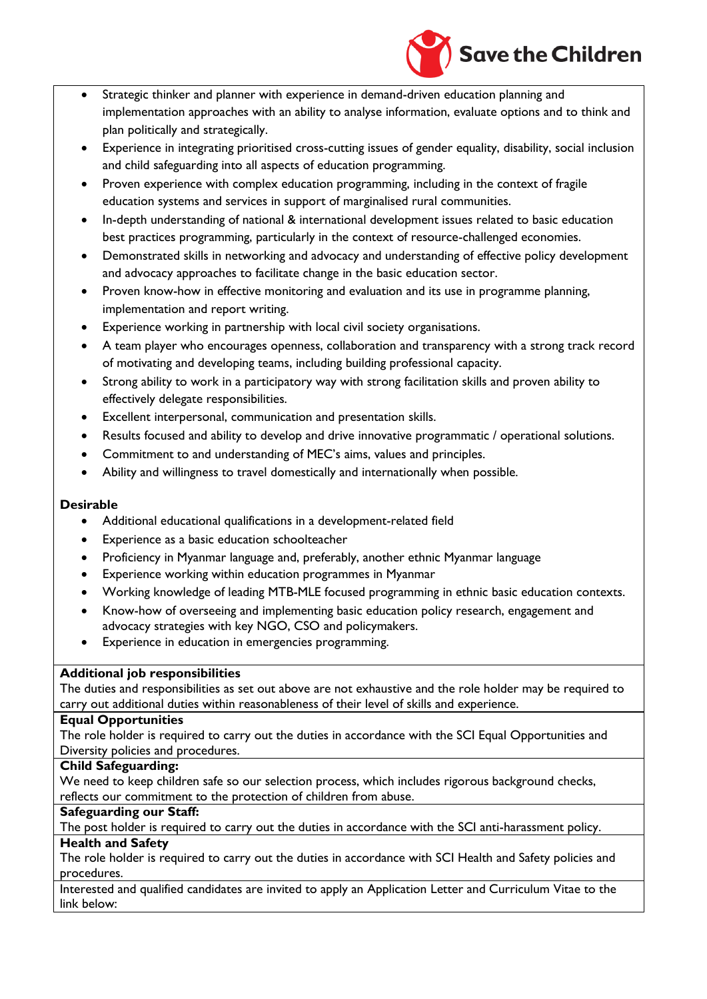

- Strategic thinker and planner with experience in demand-driven education planning and implementation approaches with an ability to analyse information, evaluate options and to think and plan politically and strategically.
- Experience in integrating prioritised cross-cutting issues of gender equality, disability, social inclusion and child safeguarding into all aspects of education programming.
- Proven experience with complex education programming, including in the context of fragile education systems and services in support of marginalised rural communities.
- In-depth understanding of national & international development issues related to basic education best practices programming, particularly in the context of resource-challenged economies.
- Demonstrated skills in networking and advocacy and understanding of effective policy development and advocacy approaches to facilitate change in the basic education sector.
- Proven know-how in effective monitoring and evaluation and its use in programme planning, implementation and report writing.
- Experience working in partnership with local civil society organisations.
- A team player who encourages openness, collaboration and transparency with a strong track record of motivating and developing teams, including building professional capacity.
- Strong ability to work in a participatory way with strong facilitation skills and proven ability to effectively delegate responsibilities.
- Excellent interpersonal, communication and presentation skills.
- Results focused and ability to develop and drive innovative programmatic / operational solutions.
- Commitment to and understanding of MEC's aims, values and principles.
- Ability and willingness to travel domestically and internationally when possible.

### **Desirable**

- Additional educational qualifications in a development-related field
- Experience as a basic education schoolteacher
- Proficiency in Myanmar language and, preferably, another ethnic Myanmar language
- Experience working within education programmes in Myanmar
- Working knowledge of leading MTB-MLE focused programming in ethnic basic education contexts.
- Know-how of overseeing and implementing basic education policy research, engagement and advocacy strategies with key NGO, CSO and policymakers.
- Experience in education in emergencies programming.

### **Additional job responsibilities**

The duties and responsibilities as set out above are not exhaustive and the role holder may be required to carry out additional duties within reasonableness of their level of skills and experience.

#### **Equal Opportunities**

The role holder is required to carry out the duties in accordance with the SCI Equal Opportunities and Diversity policies and procedures.

### **Child Safeguarding:**

We need to keep children safe so our selection process, which includes rigorous background checks, reflects our commitment to the protection of children from abuse.

### **Safeguarding our Staff:**

The post holder is required to carry out the duties in accordance with the SCI anti-harassment policy.

#### **Health and Safety**

The role holder is required to carry out the duties in accordance with SCI Health and Safety policies and procedures.

Interested and qualified candidates are invited to apply an Application Letter and Curriculum Vitae to the link below: